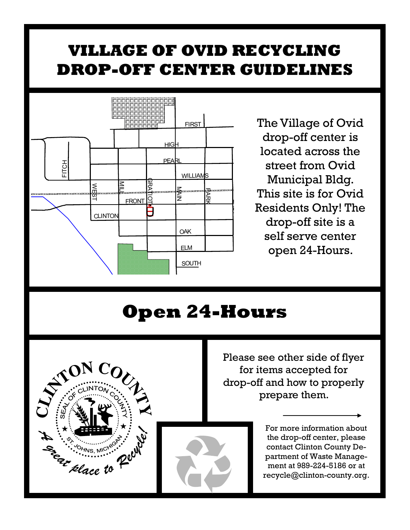## **VILLAGE OF OVID RECYCLING DROP-OFF CENTER GUIDELINES**



E E Elace to Pell

The Village of Ovid drop-off center is located across the street from Ovid Municipal Bldg. This site is for Ovid Residents Only! The drop-off site is a self serve center open 24-Hours.

## **Open 24-Hours**



For more information about the drop-off center, please contact Clinton County Department of Waste Management at 989-224-5186 or at recycle@clinton-county.org.